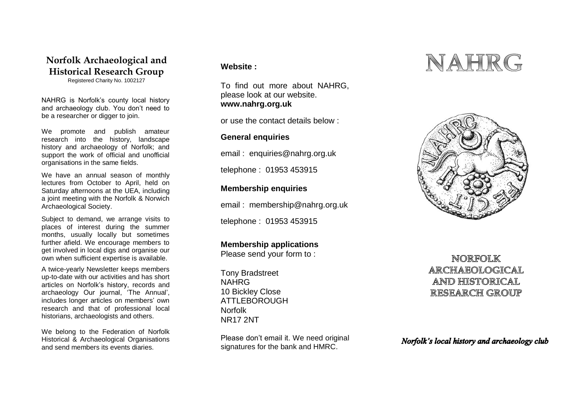# **Norfolk Archaeological and Historical Research Group**

Registered Charity No. 1002127

NAHRG is Norfolk's county local history and archaeology club. You don't need to be a researcher or digger to join.

We promote and publish amateur research into the history, landscape history and archaeology of Norfolk; and support the work of official and unofficial organisations in the same fields.

We have an annual season of monthly lectures from October to April, held on Saturday afternoons at the UEA, including a joint meeting with the Norfolk & Norwich Archaeological Society.

Subject to demand, we arrange visits to places of interest during the summer months, usually locally but sometimes further afield. We encourage members to get involved in local digs and organise our own when sufficient expertise is available.

A twice-yearly Newsletter keeps members up-to-date with our activities and has short articles on Norfolk's history, records and archaeology Our journal, 'The Annual', includes longer articles on members' own research and that of professional local historians, archaeologists and others.

We belong to the Federation of Norfolk Historical & Archaeological Organisations and send members its events diaries.

## **Website :**

To find out more about NAHRG, please look at our website. **www.nahrg.org.uk**

or use the contact details below :

## **General enquiries**

email : enquiries@nahrg.org.uk

telephone : 01953 453915

# **Membership enquiries**

email : membership@nahrg.org.uk

telephone : 01953 453915

# **Membership applications**

Please send your form to :

Tony Bradstreet NAHRG 10 Bickley Close ATTI FBOROUGH Norfolk NR17 2NT

Please don't email it. We need original signatures for the bank and HMRC.

# NAHRG



# NORFOLK ARCHAEOLOGICAL **AND HISTORICAL RESEARCH GROUP**

Norfolk's local history and archaeology club